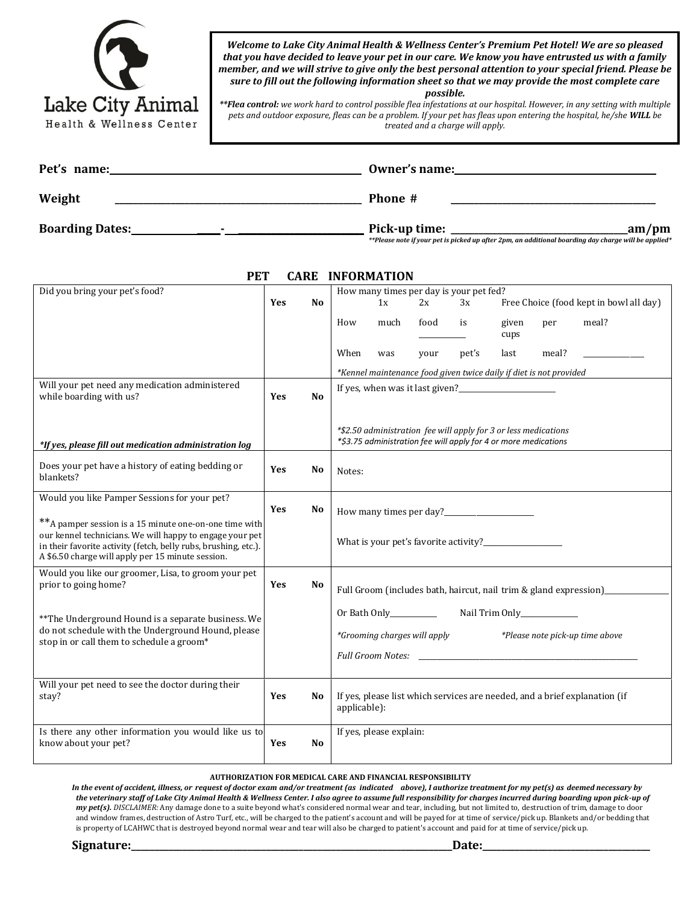| Lake City Animal         |
|--------------------------|
| Health & Wellness Center |

*Welcome to Lake City Animal Health & Wellness Center's Premium Pet Hotel! We are so pleased that you have decided to leave your pet in our care. We know you have entrusted us with a family member, and we will strive to give only the best personal attention to your special friend. Please be sure to fill out the following information sheet so that we may provide the most complete care possible.*

*\*\*Flea control: we work hard to control possible flea infestations at our hospital. However, in any setting with multiple pets and outdoor exposure, fleas can be a problem. If your pet has fleas upon entering the hospital, he/she WILL be treated and a charge will apply.* 

| Pet's name:            | Owner's name: |        |  |  |  |
|------------------------|---------------|--------|--|--|--|
| Weight                 | Phone #       |        |  |  |  |
| <b>Boarding Dates:</b> | Pick-up time: | _am/pm |  |  |  |

*\*\*Please note if your pet is picked up after 2pm, an additional boarding day charge will be applied\**

| <b>PET</b><br><b>CARE INFORMATION</b>                                                                                                                                                                                                       |            |                |                                                                                                                                    |      |      |       |               |       |                                                                                                                                                                                                                                |
|---------------------------------------------------------------------------------------------------------------------------------------------------------------------------------------------------------------------------------------------|------------|----------------|------------------------------------------------------------------------------------------------------------------------------------|------|------|-------|---------------|-------|--------------------------------------------------------------------------------------------------------------------------------------------------------------------------------------------------------------------------------|
| Did you bring your pet's food?                                                                                                                                                                                                              |            |                | How many times per day is your pet fed?                                                                                            |      |      |       |               |       |                                                                                                                                                                                                                                |
|                                                                                                                                                                                                                                             | <b>Yes</b> | N <sub>o</sub> | 1x                                                                                                                                 |      | 2x   | 3x    |               |       | Free Choice (food kept in bowl all day)                                                                                                                                                                                        |
|                                                                                                                                                                                                                                             |            |                | How                                                                                                                                | much | food | is    | given<br>cups | per   | meal?                                                                                                                                                                                                                          |
|                                                                                                                                                                                                                                             |            |                | When                                                                                                                               | was  | your | pet's | last          | meal? |                                                                                                                                                                                                                                |
|                                                                                                                                                                                                                                             |            |                | *Kennel maintenance food given twice daily if diet is not provided                                                                 |      |      |       |               |       |                                                                                                                                                                                                                                |
| Will your pet need any medication administered<br>while boarding with us?                                                                                                                                                                   | Yes        | <b>No</b>      | If yes, when was it last given?                                                                                                    |      |      |       |               |       |                                                                                                                                                                                                                                |
| *If yes, please fill out medication administration log                                                                                                                                                                                      |            |                | *\$2.50 administration fee will apply for 3 or less medications<br>*\$3.75 administration fee will apply for 4 or more medications |      |      |       |               |       |                                                                                                                                                                                                                                |
| Does your pet have a history of eating bedding or<br>blankets?                                                                                                                                                                              | <b>Yes</b> | No             | Notes:                                                                                                                             |      |      |       |               |       |                                                                                                                                                                                                                                |
| Would you like Pamper Sessions for your pet?                                                                                                                                                                                                | <b>Yes</b> | No             |                                                                                                                                    |      |      |       |               |       |                                                                                                                                                                                                                                |
| ** A pamper session is a 15 minute one-on-one time with<br>our kennel technicians. We will happy to engage your pet<br>in their favorite activity (fetch, belly rubs, brushing, etc.).<br>A \$6.50 charge will apply per 15 minute session. |            |                |                                                                                                                                    |      |      |       |               |       |                                                                                                                                                                                                                                |
| Would you like our groomer, Lisa, to groom your pet<br>prior to going home?                                                                                                                                                                 | <b>Yes</b> | No             | Full Groom (includes bath, haircut, nail trim & gland expression)                                                                  |      |      |       |               |       |                                                                                                                                                                                                                                |
| ** The Underground Hound is a separate business. We<br>do not schedule with the Underground Hound, please<br>stop in or call them to schedule a groom*                                                                                      |            |                |                                                                                                                                    |      |      |       |               |       |                                                                                                                                                                                                                                |
|                                                                                                                                                                                                                                             |            |                | *Grooming charges will apply<br>*Please note pick-up time above                                                                    |      |      |       |               |       |                                                                                                                                                                                                                                |
|                                                                                                                                                                                                                                             |            |                |                                                                                                                                    |      |      |       |               |       | Full Groom Notes: The Second Second Second Second Second Second Second Second Second Second Second Second Second Second Second Second Second Second Second Second Second Second Second Second Second Second Second Second Seco |
| Will your pet need to see the doctor during their<br>stay?                                                                                                                                                                                  | <b>Yes</b> | No             | applicable):                                                                                                                       |      |      |       |               |       | If yes, please list which services are needed, and a brief explanation (if                                                                                                                                                     |
| Is there any other information you would like us to<br>know about your pet?                                                                                                                                                                 | Yes        | N <sub>0</sub> | If yes, please explain:                                                                                                            |      |      |       |               |       |                                                                                                                                                                                                                                |

## **AUTHORIZATION FOR MEDICAL CARE AND FINANCIAL RESPONSIBILITY**

*In the event of accident, illness, or request of doctor exam and/or treatment (as indicated above), I authorize treatment for my pet(s) as deemed necessary by the veterinary staff of Lake City Animal Health & Wellness Center. I also agree to assume full responsibility for charges incurred during boarding upon pick-up of my pet(s). DISCLAIMER:* Any damage done to a suite beyond what's considered normal wear and tear, including, but not limited to, destruction of trim, damage to door and window frames, destruction of Astro Turf, etc., will be charged to the patient's account and will be payed for at time of service/pick up. Blankets and/or bedding that is property of LCAHWC that is destroyed beyond normal wear and tear will also be charged to patient's account and paid for at time of service/pick up.